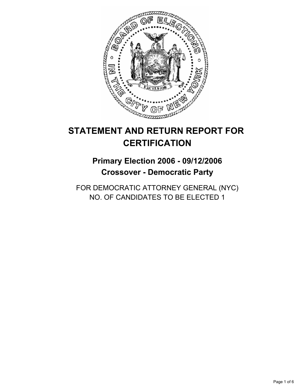

# **STATEMENT AND RETURN REPORT FOR CERTIFICATION**

## **Primary Election 2006 - 09/12/2006 Crossover - Democratic Party**

FOR DEMOCRATIC ATTORNEY GENERAL (NYC) NO. OF CANDIDATES TO BE ELECTED 1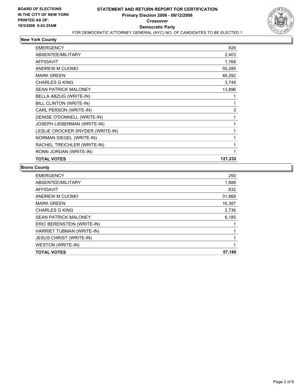

#### **New York County**

| <b>TOTAL VOTES</b>               | 121,232 |
|----------------------------------|---------|
| RONN JORDAN (WRITE-IN)           |         |
| RACHEL TREICHLER (WRITE-IN)      |         |
| NORMAN SIEGEL (WRITE-IN)         |         |
| LESLIE CROCKER SNYDER (WRITE-IN) |         |
| JOSEPH LIEBERMAN (WRITE-IN)      |         |
| DENISE O'DONNELL (WRITE-IN)      |         |
| CARL PERSON (WRITE-IN)           | 3       |
| BILL CLINTON (WRITE-IN)          |         |
| BELLA ABZUG (WRITE-IN)           |         |
| <b>SEAN PATRICK MALONEY</b>      | 13,896  |
| <b>CHARLES G KING</b>            | 3,748   |
| <b>MARK GREEN</b>                | 48,292  |
| ANDREW M CUOMO                   | 55,285  |
| <b>AFFIDAVIT</b>                 | 1,768   |
| <b>ABSENTEE/MILITARY</b>         | 2,403   |
| <b>EMERGENCY</b>                 | 826     |

#### **Bronx County**

| <b>EMERGENCY</b>               | 250    |
|--------------------------------|--------|
| ABSENTEE/MILITARY              | 1,888  |
| AFFIDAVIT                      | 832    |
| ANDREW M CUOMO                 | 31,868 |
| <b>MARK GREEN</b>              | 16,387 |
| <b>CHARLES G KING</b>          | 2,736  |
| <b>SEAN PATRICK MALONEY</b>    | 6,185  |
| ERIC BERENSTEIN (WRITE-IN)     |        |
| HARRIET TUBMAN (WRITE-IN)      |        |
| <b>JESUS CHRIST (WRITE-IN)</b> |        |
| <b>WESTON (WRITE-IN)</b>       |        |
| <b>TOTAL VOTES</b>             | 57,180 |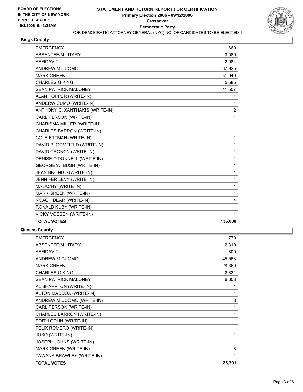

### **Kings County**

| <b>EMERGENCY</b>                 | 1.660            |
|----------------------------------|------------------|
| ABSENTEE/MILITARY                | 3,089            |
| <b>AFFIDAVIT</b>                 | 2,084            |
| ANDREW M CUOMO                   | 67,925           |
| <b>MARK GREEN</b>                | 51,049           |
| <b>CHARLES G KING</b>            | 5,585            |
| <b>SEAN PATRICK MALONEY</b>      | 11,507           |
| ALAN POPPER (WRITE-IN)           | 1                |
| ANDERW CUMO (WRITE-IN)           | 1                |
| ANTHONY C. XANTHAKIS (WRITE-IN)  | $\boldsymbol{2}$ |
| CARL PERSON (WRITE-IN)           | 1                |
| CHARISMA MILLER (WRITE-IN)       | 1                |
| CHARLES BARRON (WRITE-IN)        | 1                |
| <b>COLE ETTMAN (WRITE-IN)</b>    | 1                |
| DAVID BLOOMFIELD (WRITE-IN)      | 1                |
| DAVID CRONCN (WRITE-IN)          | 1                |
| DENISE O'DONNELL (WRITE-IN)      | 1                |
| <b>GEORGE W. BUSH (WRITE-IN)</b> | 1                |
| JEAN BRONGO (WRITE-IN)           | 1                |
| JENNIFER LEVY (WRITE-IN)         | 1                |
| MALACHY (WRITE-IN)               | 1                |
| <b>MARK GREEN (WRITE-IN)</b>     | 1                |
| NOACH DEAR (WRITE-IN)            | 4                |
| RONALD KUBY (WRITE-IN)           | 1                |
| VICKY VOSSEN (WRITE-IN)          | 1                |
| <b>TOTAL VOTES</b>               | 136,088          |

#### **Queens County**

| <b>EMERGENCY</b>            | 779    |
|-----------------------------|--------|
| <b>ABSENTEE/MILITARY</b>    | 2,310  |
| <b>AFFIDAVIT</b>            | 800    |
| ANDREW M CUOMO              | 45,563 |
| <b>MARK GREEN</b>           | 28,369 |
| <b>CHARLES G KING</b>       | 2,831  |
| <b>SEAN PATRICK MALONEY</b> | 6,603  |
| AL SHARPTON (WRITE-IN)      |        |
| ALTON MADDOX (WRITE-IN)     | 1      |
| ANDREW M CUOMO (WRITE-IN)   | 8      |
| CARL PERSON (WRITE-IN)      | 1      |
| CHARLES BARRON (WRITE-IN)   | 1      |
| EDITH COHN (WRITE-IN)       |        |
| FELIX ROMERO (WRITE-IN)     |        |
| <b>JOKO (WRITE-IN)</b>      |        |
| JOSEPH JOHNS (WRITE-IN)     | 1      |
| MARK GREEN (WRITE-IN)       | 8      |
| TAWANA BRAWLEY (WRITE-IN)   |        |
| <b>TOTAL VOTES</b>          | 83,391 |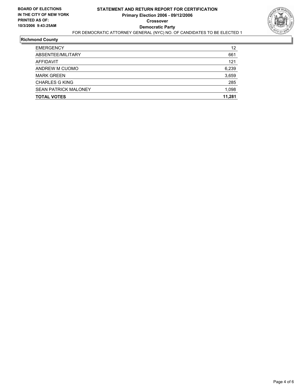

#### **Richmond County**

| <b>EMERGENCY</b>            | 12     |
|-----------------------------|--------|
| ABSENTEE/MILITARY           | 661    |
| AFFIDAVIT                   | 121    |
| ANDREW M CUOMO              | 6,239  |
| <b>MARK GREEN</b>           | 3,659  |
| CHARLES G KING              | 285    |
| <b>SEAN PATRICK MALONEY</b> | 1,098  |
| <b>TOTAL VOTES</b>          | 11,281 |
|                             |        |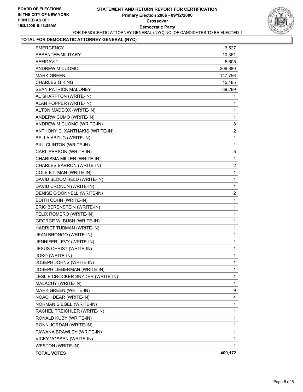

## **TOTAL FOR DEMOCRATIC ATTORNEY GENERAL (NYC)**

| <b>EMERGENCY</b>                 | 3,527                   |
|----------------------------------|-------------------------|
| ABSENTEE/MILITARY                | 10,351                  |
| <b>AFFIDAVIT</b>                 | 5,605                   |
| ANDREW M CUOMO                   | 206,880                 |
| <b>MARK GREEN</b>                | 147,756                 |
| <b>CHARLES G KING</b>            | 15,185                  |
| <b>SEAN PATRICK MALONEY</b>      | 39,289                  |
| AL SHARPTON (WRITE-IN)           | 1                       |
| ALAN POPPER (WRITE-IN)           | 1                       |
| ALTON MADDOX (WRITE-IN)          | 1                       |
| ANDERW CUMO (WRITE-IN)           | 1                       |
| ANDREW M CUOMO (WRITE-IN)        | 8                       |
| ANTHONY C. XANTHAKIS (WRITE-IN)  | $\overline{\mathbf{c}}$ |
| BELLA ABZUG (WRITE-IN)           | $\mathbf 1$             |
| BILL CLINTON (WRITE-IN)          | 1                       |
| CARL PERSON (WRITE-IN)           | 5                       |
| CHARISMA MILLER (WRITE-IN)       | $\mathbf 1$             |
| <b>CHARLES BARRON (WRITE-IN)</b> | $\overline{c}$          |
| <b>COLE ETTMAN (WRITE-IN)</b>    | 1                       |
| DAVID BLOOMFIELD (WRITE-IN)      | $\mathbf{1}$            |
| DAVID CRONCN (WRITE-IN)          | 1                       |
| DENISE O'DONNELL (WRITE-IN)      | $\overline{\mathbf{c}}$ |
| EDITH COHN (WRITE-IN)            | $\mathbf 1$             |
| ERIC BERENSTEIN (WRITE-IN)       | 1                       |
| FELIX ROMERO (WRITE-IN)          | 1                       |
| GEORGE W. BUSH (WRITE-IN)        | 1                       |
| HARRIET TUBMAN (WRITE-IN)        | 1                       |
| JEAN BRONGO (WRITE-IN)           | 1                       |
| JENNIFER LEVY (WRITE-IN)         | $\mathbf 1$             |
| <b>JESUS CHRIST (WRITE-IN)</b>   | 1                       |
| <b>JOKO (WRITE-IN)</b>           | 1                       |
| JOSEPH JOHNS (WRITE-IN)          | 1                       |
| JOSEPH LIEBERMAN (WRITE-IN)      | 1                       |
| LESLIE CROCKER SNYDER (WRITE-IN) | 1                       |
| MALACHY (WRITE-IN)               | 1                       |
| MARK GREEN (WRITE-IN)            | 9                       |
| NOACH DEAR (WRITE-IN)            | 4                       |
| NORMAN SIEGEL (WRITE-IN)         | 1                       |
| RACHEL TREICHLER (WRITE-IN)      | 1                       |
| RONALD KUBY (WRITE-IN)           | 1                       |
| RONN JORDAN (WRITE-IN)           | 1                       |
| TAWANA BRAWLEY (WRITE-IN)        | 1                       |
| VICKY VOSSEN (WRITE-IN)          | 1                       |
| WESTON (WRITE-IN)                | 1                       |
| <b>TOTAL VOTES</b>               | 409,172                 |
|                                  |                         |